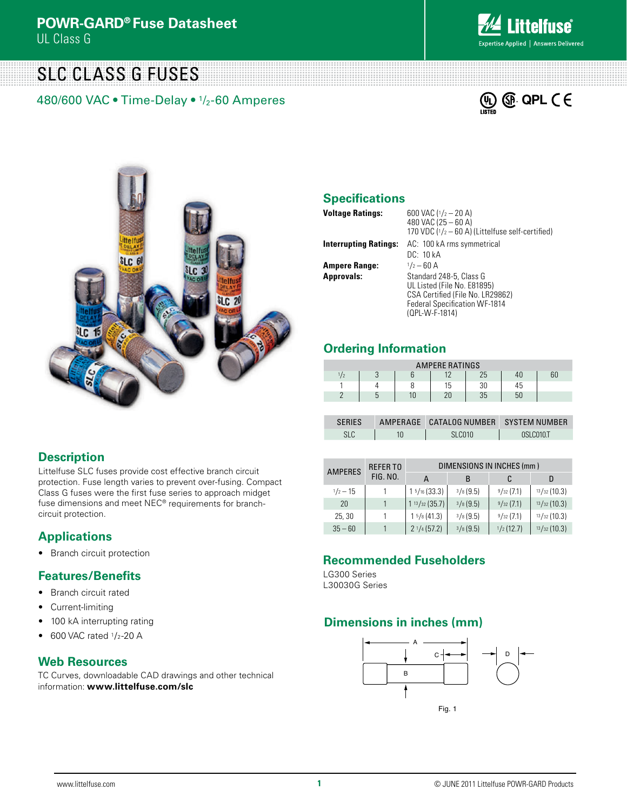# SLC Class G Fuses

480/600 VAC • Time-Delay • 1/2-60 Amperes







## **Specifications**

| <b>Voltage Ratings:</b>      | 600 VAC $(1/2 - 20 A)$<br>480 VAC (25 - 60 A)<br>170 VDC $(1/2 - 60 A)$ (Littelfuse self-certified) |
|------------------------------|-----------------------------------------------------------------------------------------------------|
| <b>Interrupting Ratings:</b> | AC: 100 kA rms symmetrical                                                                          |
|                              | DC: 10 kA                                                                                           |
| <b>Ampere Range:</b>         | $1/2 - 60$ A                                                                                        |
| <b>Approvals:</b>            | Standard 248-5, Class G                                                                             |
|                              | UL Listed (File No. E81895)                                                                         |
|                              | CSA Certified (File No. LR29862)                                                                    |
|                              | Federal Specification WF-1814                                                                       |
|                              | (QPL-W-F-1814)                                                                                      |

### **Ordering Information**

| <b>AMPERE RATINGS</b> |  |  |                |    |     |  |  |  |
|-----------------------|--|--|----------------|----|-----|--|--|--|
|                       |  |  | 1 <sub>0</sub> | 25 | -4Ն |  |  |  |
|                       |  |  | 15             | 30 | 45  |  |  |  |
|                       |  |  |                | 35 | 50  |  |  |  |

| <b>SFRIFS</b> | AMPERAGE CATALOG NUMBER SYSTEM NUMBER |           |
|---------------|---------------------------------------|-----------|
| SLC           | SLC010                                | OSLCO10.T |

| <b>AMPERES</b>     | <b>REFERTO</b><br>FIG. NO. | DIMENSIONS IN INCHES (mm) |             |           |             |  |
|--------------------|----------------------------|---------------------------|-------------|-----------|-------------|--|
|                    |                            |                           | в           | C         | D           |  |
| $\frac{1}{2} - 15$ |                            | $1\frac{5}{16}$ (33.3)    | $3/8$ (9.5) | 9/32(7.1) | 13/32(10.3) |  |
| 20                 |                            | $1 \frac{13}{32} (35.7)$  | $3/8$ (9.5) | 9/32(7.1) | 13/32(10.3) |  |
| 25, 30             |                            | $1\frac{5}{8}(41.3)$      | 3/8(9.5)    | 9/32(7.1) | 13/32(10.3) |  |
| $35 - 60$          |                            | $2^{1/4}$ (57.2)          | $3/8$ (9.5) | 1/2(12.7) | 13/32(10.3) |  |

#### **Recommended Fuseholders**

LG300 Series L30030G Series

## **Dimensions in inches (mm)**



#### **Description**

Littelfuse SLC fuses provide cost effective branch circuit protection. Fuse length varies to prevent over-fusing. Compact Class G fuses were the first fuse series to approach midget fuse dimensions and meet NEC® requirements for branchcircuit protection.

## **Applications**

• Branch circuit protection

#### **Features/Benefits**

- Branch circuit rated
- Current-limiting
- 100 kA interrupting rating
- $\bullet$  600 VAC rated  $1/2$ -20 A

## **Web Resources**

TC Curves, downloadable CAD drawings and other technical information: **www.littelfuse.com/slc**